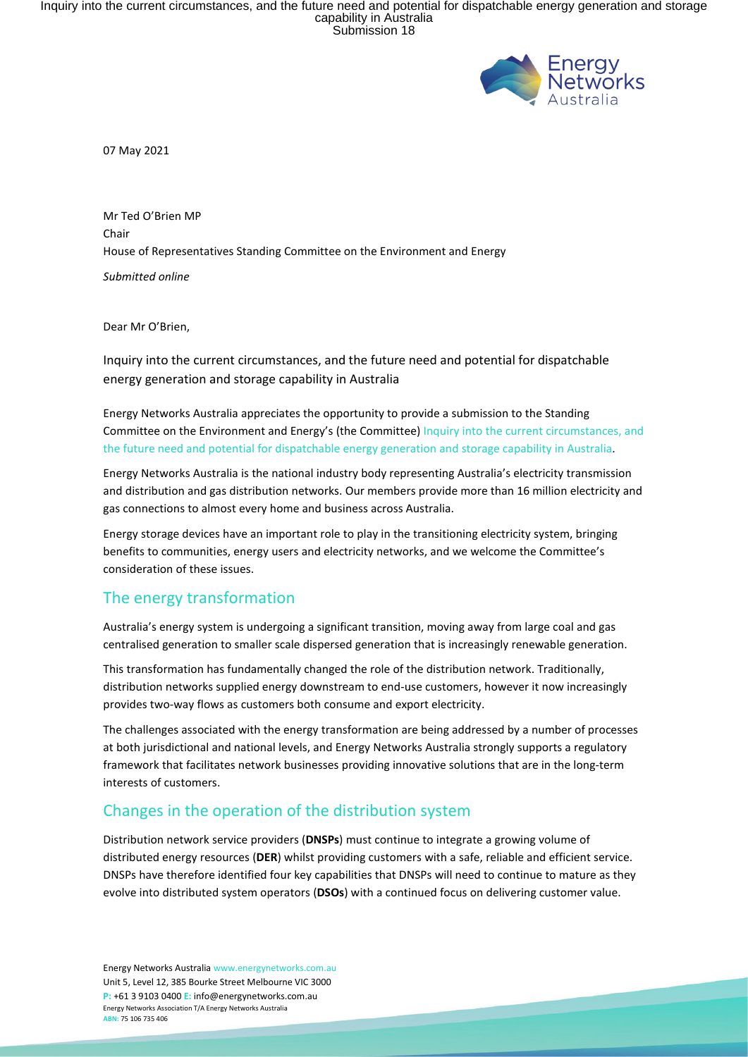Inquiry into the current circumstances, and the future need and potential for dispatchable energy generation and storage<br>capability in Australia<br>Submission 18



07 May 2021

Mr Ted O'Brien MP Chair House of Representatives Standing Committee on the Environment and Energy *Submitted online*

Dear Mr O'Brien,

Inquiry into the current circumstances, and the future need and potential for dispatchable energy generation and storage capability in Australia

Energy Networks Australia appreciates the opportunity to provide a submission to the Standing Committee on the Environment and Energy's (the Committee) Inquiry into the current circumstances, and the future need and potential for dispatchable energy generation and storage capability in Australia.

Energy Networks Australia is the national industry body representing Australia's electricity transmission and distribution and gas distribution networks. Our members provide more than 16 million electricity and gas connections to almost every home and business across Australia.

Energy storage devices have an important role to play in the transitioning electricity system, bringing benefits to communities, energy users and electricity networks, and we welcome the Committee's consideration of these issues.

# The energy transformation

Australia's energy system is undergoing a significant transition, moving away from large coal and gas centralised generation to smaller scale dispersed generation that is increasingly renewable generation.

This transformation has fundamentally changed the role of the distribution network. Traditionally, distribution networks supplied energy downstream to end-use customers, however it now increasingly provides two-way flows as customers both consume and export electricity.

The challenges associated with the energy transformation are being addressed by a number of processes at both jurisdictional and national levels, and Energy Networks Australia strongly supports a regulatory framework that facilitates network businesses providing innovative solutions that are in the long-term interests of customers.

## Changes in the operation of the distribution system

Distribution network service providers (**DNSPs**) must continue to integrate a growing volume of distributed energy resources (**DER**) whilst providing customers with a safe, reliable and efficient service. DNSPs have therefore identified four key capabilities that DNSPs will need to continue to mature as they evolve into distributed system operators (**DSOs**) with a continued focus on delivering customer value.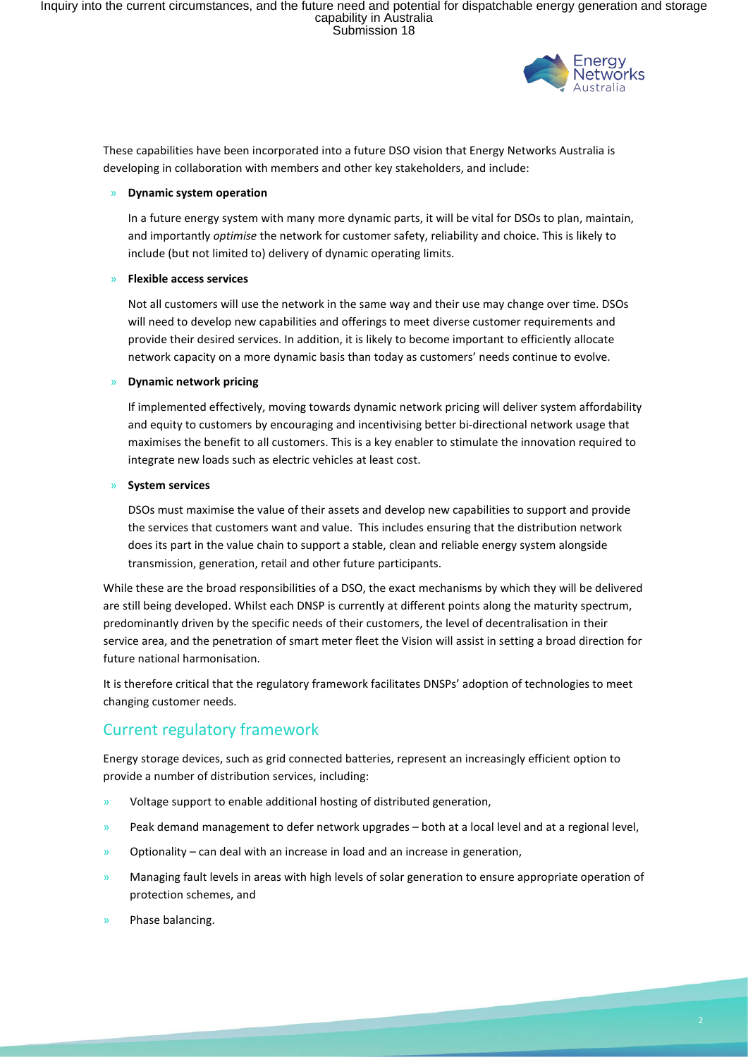

These capabilities have been incorporated into a future DSO vision that Energy Networks Australia is developing in collaboration with members and other key stakeholders, and include:

#### » **Dynamic system operation**

In a future energy system with many more dynamic parts, it will be vital for DSOs to plan, maintain, and importantly *optimise* the network for customer safety, reliability and choice. This is likely to include (but not limited to) delivery of dynamic operating limits.

#### » **Flexible access services**

Not all customers will use the network in the same way and their use may change over time. DSOs will need to develop new capabilities and offerings to meet diverse customer requirements and provide their desired services. In addition, it is likely to become important to efficiently allocate network capacity on a more dynamic basis than today as customers' needs continue to evolve.

#### » **Dynamic network pricing**

If implemented effectively, moving towards dynamic network pricing will deliver system affordability and equity to customers by encouraging and incentivising better bi-directional network usage that maximises the benefit to all customers. This is a key enabler to stimulate the innovation required to integrate new loads such as electric vehicles at least cost.

#### » **System services**

DSOs must maximise the value of their assets and develop new capabilities to support and provide the services that customers want and value. This includes ensuring that the distribution network does its part in the value chain to support a stable, clean and reliable energy system alongside transmission, generation, retail and other future participants.

While these are the broad responsibilities of a DSO, the exact mechanisms by which they will be delivered are still being developed. Whilst each DNSP is currently at different points along the maturity spectrum, predominantly driven by the specific needs of their customers, the level of decentralisation in their service area, and the penetration of smart meter fleet the Vision will assist in setting a broad direction for future national harmonisation.

It is therefore critical that the regulatory framework facilitates DNSPs' adoption of technologies to meet changing customer needs.

## Current regulatory framework

Energy storage devices, such as grid connected batteries, represent an increasingly efficient option to provide a number of distribution services, including:

- » Voltage support to enable additional hosting of distributed generation,
- Peak demand management to defer network upgrades both at a local level and at a regional level,
- » Optionality can deal with an increase in load and an increase in generation,
- » Managing fault levels in areas with high levels of solar generation to ensure appropriate operation of protection schemes, and
- » Phase balancing.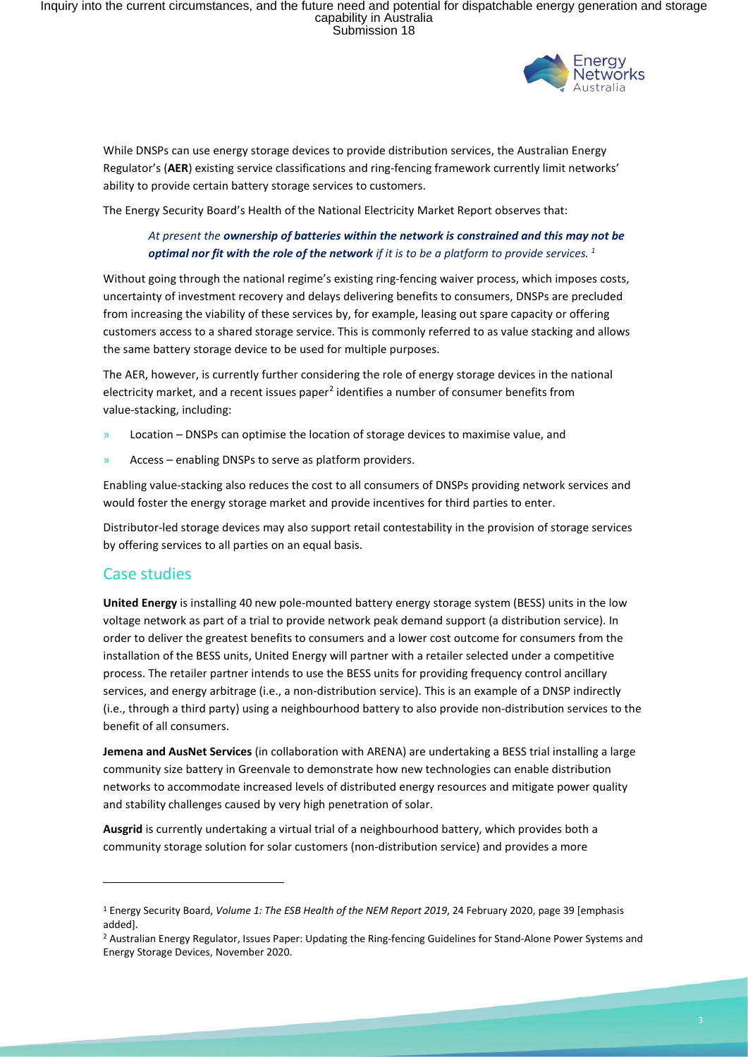Inquiry into the current circumstances, and the future need and potential for dispatchable energy generation and storage<br>capability in Australia<br>Submission 18



While DNSPs can use energy storage devices to provide distribution services, the Australian Energy Regulator's (**AER**) existing service classifications and ring-fencing framework currently limit networks' ability to provide certain battery storage services to customers.

The Energy Security Board's Health of the National Electricity Market Report observes that:

### *At present the ownership of batteries within the network is constrained and this may not be optimal nor fit with the role of the network if it is to be a platform to provide services. <sup>1</sup>*

Without going through the national regime's existing ring-fencing waiver process, which imposes costs, uncertainty of investment recovery and delays delivering benefits to consumers, DNSPs are precluded from increasing the viability of these services by, for example, leasing out spare capacity or offering customers access to a shared storage service. This is commonly referred to as value stacking and allows the same battery storage device to be used for multiple purposes.

The AER, however, is currently further considering the role of energy storage devices in the national electricity market, and a recent issues paper<sup>2</sup> identifies a number of consumer benefits from value-stacking, including:

- » Location DNSPs can optimise the location of storage devices to maximise value, and
- » Access enabling DNSPs to serve as platform providers.

Enabling value-stacking also reduces the cost to all consumers of DNSPs providing network services and would foster the energy storage market and provide incentives for third parties to enter.

Distributor-led storage devices may also support retail contestability in the provision of storage services by offering services to all parties on an equal basis.

## Case studies

**United Energy** is installing 40 new pole-mounted battery energy storage system (BESS) units in the low voltage network as part of a trial to provide network peak demand support (a distribution service). In order to deliver the greatest benefits to consumers and a lower cost outcome for consumers from the installation of the BESS units, United Energy will partner with a retailer selected under a competitive process. The retailer partner intends to use the BESS units for providing frequency control ancillary services, and energy arbitrage (i.e., a non-distribution service). This is an example of a DNSP indirectly (i.e., through a third party) using a neighbourhood battery to also provide non-distribution services to the benefit of all consumers.

**Jemena and AusNet Services** (in collaboration with ARENA) are undertaking a BESS trial installing a large community size battery in Greenvale to demonstrate how new technologies can enable distribution networks to accommodate increased levels of distributed energy resources and mitigate power quality and stability challenges caused by very high penetration of solar.

**Ausgrid** is currently undertaking a virtual trial of a neighbourhood battery, which provides both a community storage solution for solar customers (non-distribution service) and provides a more

<sup>1</sup> Energy Security Board, *Volume 1: The ESB Health of the NEM Report 2019*, 24 February 2020, page 39 [emphasis added].

<sup>2</sup> Australian Energy Regulator, Issues Paper: Updating the Ring-fencing Guidelines for Stand-Alone Power Systems and Energy Storage Devices, November 2020.